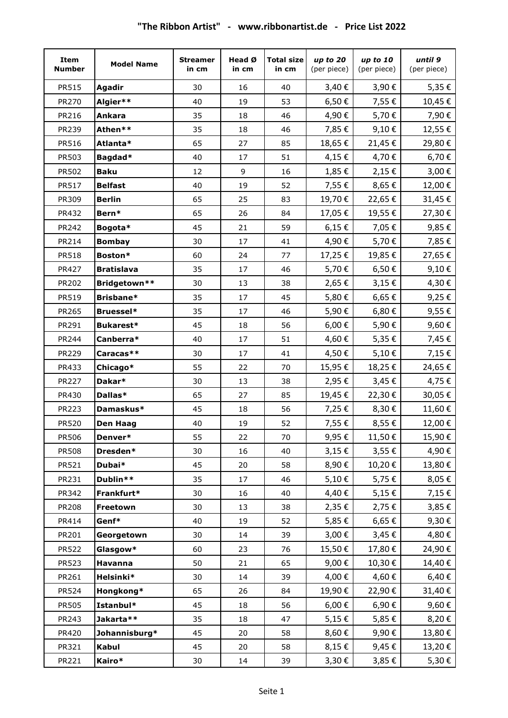| Item<br><b>Number</b> | <b>Model Name</b> | <b>Streamer</b><br>in cm | Head Ø<br>in cm | <b>Total size</b><br>in cm | up to 20<br>(per piece) | up to 10<br>(per piece) | until 9<br>(per piece) |
|-----------------------|-------------------|--------------------------|-----------------|----------------------------|-------------------------|-------------------------|------------------------|
| PR515                 | <b>Agadir</b>     | 30                       | 16              | 40                         | 3,40€                   | 3,90€                   | 5,35 €                 |
| PR270                 | Algier**          | 40                       | 19              | 53                         | 6,50€                   | 7,55€                   | 10,45€                 |
| PR216                 | <b>Ankara</b>     | 35                       | 18              | 46                         | 4,90€                   | 5,70€                   | 7,90€                  |
| PR239                 | Athen**           | 35                       | 18              | 46                         | 7,85€                   | 9,10€                   | 12,55€                 |
| PR516                 | Atlanta*          | 65                       | 27              | 85                         | 18,65€                  | 21,45€                  | 29,80€                 |
| PR503                 | Bagdad*           | 40                       | 17              | 51                         | 4,15€                   | 4,70€                   | 6,70€                  |
| PR502                 | <b>Baku</b>       | 12                       | 9               | 16                         | 1,85€                   | 2,15€                   | 3,00€                  |
| PR517                 | <b>Belfast</b>    | 40                       | 19              | 52                         | 7,55€                   | 8,65€                   | 12,00€                 |
| PR309                 | <b>Berlin</b>     | 65                       | 25              | 83                         | 19,70€                  | 22,65€                  | 31,45€                 |
| PR432                 | Bern*             | 65                       | 26              | 84                         | 17,05€                  | 19,55€                  | 27,30€                 |
| PR242                 | Bogota*           | 45                       | 21              | 59                         | 6,15€                   | 7,05€                   | 9,85€                  |
| PR214                 | <b>Bombay</b>     | 30                       | 17              | 41                         | 4,90€                   | 5,70€                   | 7,85€                  |
| <b>PR518</b>          | Boston*           | 60                       | 24              | 77                         | 17,25€                  | 19,85€                  | 27,65€                 |
| PR427                 | <b>Bratislava</b> | 35                       | 17              | 46                         | 5,70€                   | 6,50€                   | 9,10€                  |
| PR202                 | Bridgetown**      | 30                       | 13              | 38                         | 2,65€                   | 3,15€                   | 4,30€                  |
| PR519                 | <b>Brisbane*</b>  | 35                       | 17              | 45                         | 5,80€                   | 6,65€                   | 9,25€                  |
| PR265                 | <b>Bruessel*</b>  | 35                       | 17              | 46                         | 5,90€                   | 6,80€                   | 9,55€                  |
| PR291                 | Bukarest*         | 45                       | 18              | 56                         | 6,00€                   | 5,90€                   | 9,60€                  |
| PR244                 | Canberra*         | 40                       | 17              | 51                         | 4,60€                   | 5,35€                   | 7,45 €                 |
| PR229                 | Caracas**         | 30                       | 17              | 41                         | 4,50€                   | 5,10€                   | 7,15€                  |
| PR433                 | Chicago*          | 55                       | 22              | 70                         | 15,95€                  | 18,25€                  | 24,65€                 |
| <b>PR227</b>          | Dakar*            | 30                       | 13              | 38                         | 2,95€                   | 3,45€                   | 4,75 €                 |
| PR430                 | Dallas*           | 65                       | 27              | 85                         | 19,45€                  | 22,30€                  | 30,05€                 |
| <b>PR223</b>          | Damaskus*         | 45                       | 18              | 56                         | 7,25€                   | 8,30€                   | 11,60€                 |
| <b>PR520</b>          | <b>Den Haag</b>   | 40                       | 19              | 52                         | 7,55€                   | 8,55€                   | 12,00€                 |
| PR506                 | Denver*           | 55                       | 22              | 70                         | 9,95€                   | 11,50€                  | 15,90€                 |
| <b>PR508</b>          | Dresden*          | 30                       | 16              | 40                         | $3,15 \in$              | 3,55€                   | 4,90€                  |
| PR521                 | Dubai*            | 45                       | 20              | 58                         | 8,90€                   | 10,20€                  | 13,80€                 |
| PR231                 | Dublin**          | 35                       | 17              | 46                         | 5,10€                   | 5,75€                   | 8,05 €                 |
| PR342                 | Frankfurt*        | 30                       | 16              | 40                         | 4,40€                   | 5,15€                   | 7,15€                  |
| PR208                 | Freetown          | 30                       | 13              | 38                         | $2,35 \in$              | 2,75€                   | 3,85€                  |
| PR414                 | Genf*             | 40                       | 19              | 52                         | 5,85€                   | 6,65€                   | 9,30€                  |
| PR201                 | Georgetown        | 30                       | 14              | 39                         | 3,00€                   | 3,45€                   | 4,80€                  |
| <b>PR522</b>          | Glasgow*          | 60                       | 23              | 76                         | 15,50€                  | 17,80€                  | 24,90€                 |
| PR523                 | Havanna           | 50                       | 21              | 65                         | 9,00€                   | 10,30€                  | 14,40€                 |
| PR261                 | Helsinki*         | 30                       | 14              | 39                         | 4,00 €                  | 4,60€                   | 6,40€                  |
| <b>PR524</b>          | Hongkong*         | 65                       | 26              | 84                         | 19,90€                  | 22,90€                  | 31,40€                 |
| PR505                 | Istanbul*         | 45                       | 18              | 56                         | 6,00€                   | 6,90€                   | 9,60€                  |
| PR243                 | Jakarta**         | 35                       | 18              | 47                         | 5,15 €                  | 5,85€                   | 8,20€                  |
| PR420                 | Johannisburg*     | 45                       | 20              | 58                         | 8,60€                   | 9,90€                   | 13,80€                 |
| PR321                 | <b>Kabul</b>      | 45                       | 20              | 58                         | 8,15€                   | 9,45€                   | 13,20€                 |
| PR221                 | Kairo*            | 30                       | 14              | 39                         | 3,30€                   | 3,85€                   | 5,30€                  |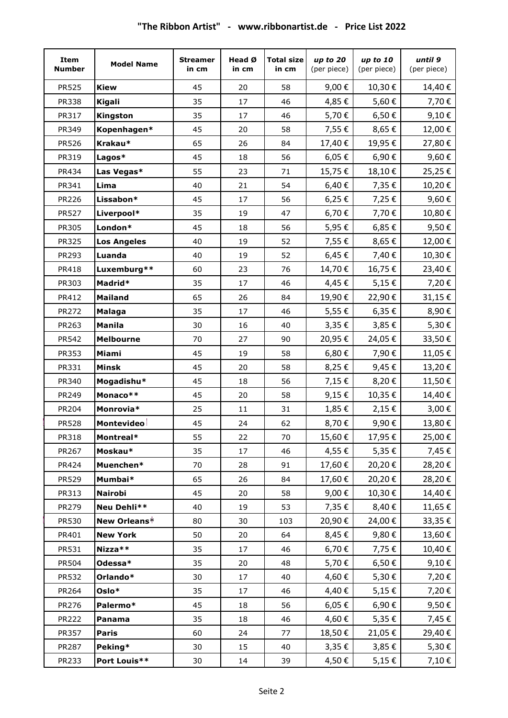| Item<br><b>Number</b> | <b>Model Name</b>  | <b>Streamer</b><br>in cm | Head Ø<br>in cm | <b>Total size</b><br>in cm | up to 20<br>(per piece) | up to 10<br>(per piece) | until 9<br>(per piece) |
|-----------------------|--------------------|--------------------------|-----------------|----------------------------|-------------------------|-------------------------|------------------------|
| <b>PR525</b>          | <b>Kiew</b>        | 45                       | 20              | 58                         | 9,00€                   | 10,30€                  | 14,40€                 |
| <b>PR338</b>          | <b>Kigali</b>      | 35                       | 17              | 46                         | 4,85€                   | 5,60€                   | 7,70€                  |
| PR317                 | Kingston           | 35                       | 17              | 46                         | 5,70€                   | 6,50€                   | 9,10€                  |
| PR349                 | Kopenhagen*        | 45                       | 20              | 58                         | 7,55€                   | 8,65€                   | 12,00€                 |
| PR526                 | Krakau*            | 65                       | 26              | 84                         | 17,40€                  | 19,95€                  | 27,80€                 |
| PR319                 | Lagos*             | 45                       | 18              | 56                         | 6,05€                   | 6,90€                   | 9,60€                  |
| PR434                 | Las Vegas*         | 55                       | 23              | 71                         | 15,75€                  | 18,10€                  | 25,25€                 |
| PR341                 | Lima               | 40                       | 21              | 54                         | 6,40€                   | 7,35€                   | 10,20€                 |
| PR226                 | Lissabon*          | 45                       | 17              | 56                         | 6,25€                   | 7,25€                   | 9,60€                  |
| <b>PR527</b>          | Liverpool*         | 35                       | 19              | 47                         | 6,70€                   | 7,70€                   | 10,80€                 |
| PR305                 | London*            | 45                       | 18              | 56                         | 5,95€                   | 6,85€                   | 9,50€                  |
| PR325                 | <b>Los Angeles</b> | 40                       | 19              | 52                         | 7,55€                   | 8,65€                   | 12,00€                 |
| PR293                 | Luanda             | 40                       | 19              | 52                         | 6,45€                   | 7,40€                   | 10,30€                 |
| PR418                 | Luxemburg**        | 60                       | 23              | 76                         | 14,70€                  | 16,75€                  | 23,40€                 |
| PR303                 | Madrid*            | 35                       | 17              | 46                         | 4,45€                   | 5,15€                   | 7,20€                  |
| PR412                 | <b>Mailand</b>     | 65                       | 26              | 84                         | 19,90€                  | 22,90€                  | 31,15€                 |
| PR272                 | <b>Malaga</b>      | 35                       | 17              | 46                         | 5,55€                   | 6,35€                   | 8,90€                  |
| PR263                 | <b>Manila</b>      | 30                       | 16              | 40                         | $3,35 \in$              | 3,85€                   | 5,30€                  |
| PR542                 | <b>Melbourne</b>   | 70                       | 27              | 90                         | 20,95€                  | 24,05€                  | 33,50€                 |
| PR353                 | Miami              | 45                       | 19              | 58                         | 6,80€                   | 7,90€                   | 11,05€                 |
| PR331                 | Minsk              | 45                       | 20              | 58                         | 8,25€                   | 9,45€                   | 13,20€                 |
| PR340                 | Mogadishu*         | 45                       | 18              | 56                         | 7,15€                   | 8,20€                   | 11,50€                 |
| PR249                 | Monaco**           | 45                       | 20              | 58                         | 9,15€                   | 10,35€                  | 14,40€                 |
| PR204                 | Monrovia*          | 25                       | 11              | 31                         | 1,85€                   | 2,15€                   | 3,00€                  |
| <b>PR528</b>          | <b>Montevideo</b>  | 45                       | 24              | 62                         | 8,70€                   | 9,90€                   | 13,80€                 |
| PR318                 | Montreal*          | 55                       | 22              | 70                         | 15,60€                  | 17,95€                  | 25,00€                 |
| PR267                 | Moskau*            | 35                       | 17              | 46                         | 4,55€                   | 5,35€                   | 7,45€                  |
| PR424                 | Muenchen*          | 70                       | 28              | 91                         | 17,60€                  | 20,20€                  | 28,20€                 |
| PR529                 | Mumbai*            | 65                       | 26              | 84                         | 17,60€                  | 20,20€                  | 28,20€                 |
| PR313                 | <b>Nairobi</b>     | 45                       | 20              | 58                         | 9,00€                   | 10,30€                  | 14,40€                 |
| PR279                 | Neu Dehli**        | 40                       | 19              | 53                         | 7,35 €                  | 8,40€                   | 11,65€                 |
| PR530                 | New Orleans*       | 80                       | 30              | 103                        | 20,90€                  | 24,00€                  | 33,35€                 |
| PR401                 | <b>New York</b>    | 50                       | 20              | 64                         | 8,45€                   | 9,80€                   | 13,60€                 |
| PR531                 | Nizza**            | 35                       | 17              | 46                         | 6,70€                   | 7,75€                   | 10,40€                 |
| PR504                 | Odessa*            | 35                       | 20              | 48                         | 5,70€                   | 6,50€                   | 9,10€                  |
| PR532                 | Orlando*           | 30                       | 17              | 40                         | 4,60€                   | 5,30€                   | 7,20€                  |
| PR264                 | Oslo*              | 35                       | 17              | 46                         | 4,40€                   | 5,15€                   | 7,20€                  |
| PR276                 | Palermo*           | 45                       | 18              | 56                         | 6,05€                   | 6,90€                   | 9,50€                  |
| <b>PR222</b>          | Panama             | 35                       | 18              | 46                         | 4,60€                   | 5,35€                   | 7,45€                  |
| PR357                 | <b>Paris</b>       | 60                       | 24              | 77                         | 18,50€                  | 21,05€                  | 29,40€                 |
| PR287                 | Peking*            | 30                       | 15              | 40                         | $3,35 \in$              | $3,85 \in$              | 5,30€                  |
| PR233                 | Port Louis**       | 30                       | 14              | 39                         | 4,50€                   | $5,15 \in$              | 7,10€                  |